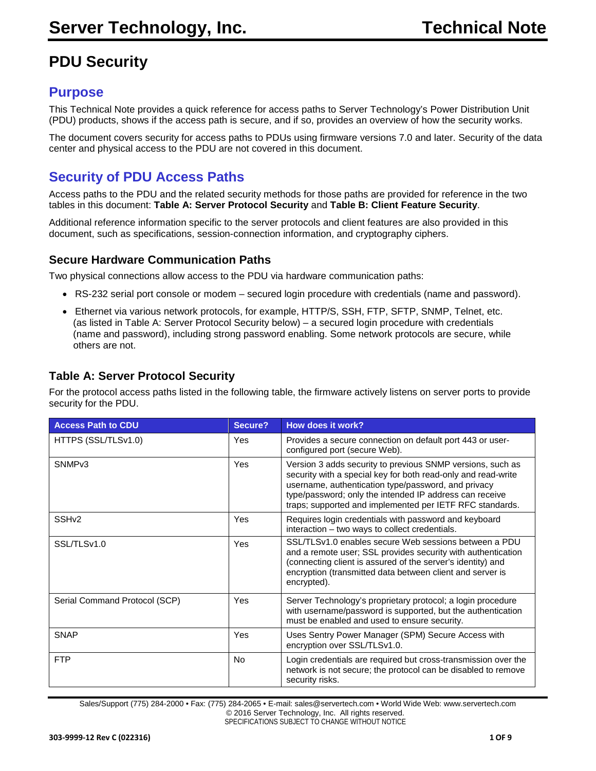# **PDU Security**

# **Purpose**

This Technical Note provides a quick reference for access paths to Server Technology's Power Distribution Unit (PDU) products, shows if the access path is secure, and if so, provides an overview of how the security works.

The document covers security for access paths to PDUs using firmware versions 7.0 and later. Security of the data center and physical access to the PDU are not covered in this document.

# **Security of PDU Access Paths**

Access paths to the PDU and the related security methods for those paths are provided for reference in the two tables in this document: **Table A: Server Protocol Security** and **Table B: Client Feature Security**.

Additional reference information specific to the server protocols and client features are also provided in this document, such as specifications, session-connection information, and cryptography ciphers.

### **Secure Hardware Communication Paths**

Two physical connections allow access to the PDU via hardware communication paths:

- RS-232 serial port console or modem secured login procedure with credentials (name and password).
- Ethernet via various network protocols, for example, HTTP/S, SSH, FTP, SFTP, SNMP, Telnet, etc. (as listed in Table A: Server Protocol Security below) – a secured login procedure with credentials (name and password), including strong password enabling. Some network protocols are secure, while others are not.

### **Table A: Server Protocol Security**

For the protocol access paths listed in the following table, the firmware actively listens on server ports to provide security for the PDU.

| <b>Access Path to CDU</b>     | Secure?   | How does it work?                                                                                                                                                                                                                                                                                         |
|-------------------------------|-----------|-----------------------------------------------------------------------------------------------------------------------------------------------------------------------------------------------------------------------------------------------------------------------------------------------------------|
| HTTPS (SSL/TLSv1.0)           | Yes       | Provides a secure connection on default port 443 or user-<br>configured port (secure Web).                                                                                                                                                                                                                |
| SNMP <sub>v3</sub>            | Yes       | Version 3 adds security to previous SNMP versions, such as<br>security with a special key for both read-only and read-write<br>username, authentication type/password, and privacy<br>type/password; only the intended IP address can receive<br>traps; supported and implemented per IETF RFC standards. |
| SSH <sub>v2</sub>             | Yes       | Requires login credentials with password and keyboard<br>interaction – two ways to collect credentials.                                                                                                                                                                                                   |
| SSL/TLSv1.0                   | Yes       | SSL/TLSv1.0 enables secure Web sessions between a PDU<br>and a remote user; SSL provides security with authentication<br>(connecting client is assured of the server's identity) and<br>encryption (transmitted data between client and server is<br>encrypted).                                          |
| Serial Command Protocol (SCP) | Yes       | Server Technology's proprietary protocol; a login procedure<br>with username/password is supported, but the authentication<br>must be enabled and used to ensure security.                                                                                                                                |
| <b>SNAP</b>                   | Yes       | Uses Sentry Power Manager (SPM) Secure Access with<br>encryption over SSL/TLSv1.0.                                                                                                                                                                                                                        |
| <b>FTP</b>                    | <b>No</b> | Login credentials are required but cross-transmission over the<br>network is not secure; the protocol can be disabled to remove<br>security risks.                                                                                                                                                        |

Sales/Support (775) 284-2000 • Fax: (775) 284-2065 • E-mail: sales@servertech.com • World Wide Web: www.servertech.com © 2016 Server Technology, Inc. All rights reserved. SPECIFICATIONS SUBJECT TO CHANGE WITHOUT NOTICE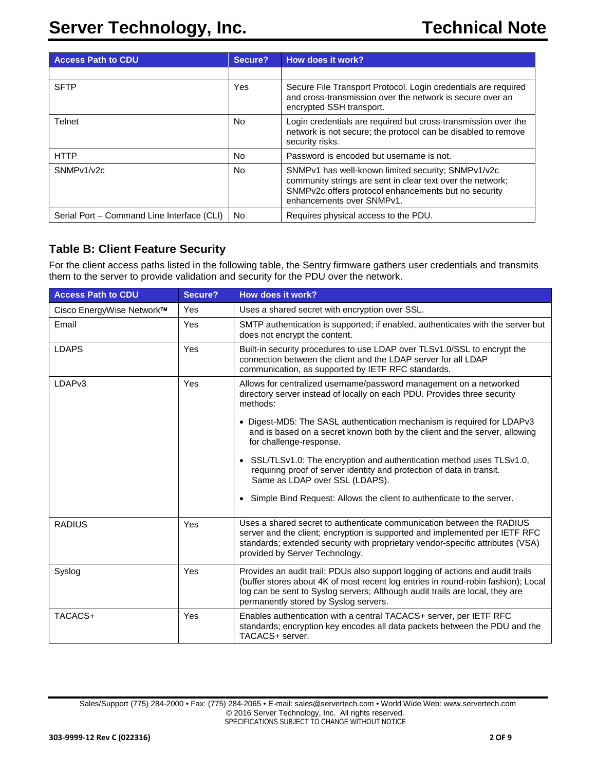| <b>Access Path to CDU</b>                  | Secure?   | How does it work?                                                                                                                                                                                     |
|--------------------------------------------|-----------|-------------------------------------------------------------------------------------------------------------------------------------------------------------------------------------------------------|
|                                            |           |                                                                                                                                                                                                       |
| <b>SFTP</b>                                | Yes       | Secure File Transport Protocol. Login credentials are required<br>and cross-transmission over the network is secure over an<br>encrypted SSH transport.                                               |
| Telnet                                     | No.       | Login credentials are required but cross-transmission over the<br>network is not secure; the protocol can be disabled to remove<br>security risks.                                                    |
| <b>HTTP</b>                                | No.       | Password is encoded but username is not.                                                                                                                                                              |
| SNMP <sub>v1</sub> / <sub>v2c</sub>        | <b>No</b> | SNMPv1 has well-known limited security; SNMPv1/v2c<br>community strings are sent in clear text over the network;<br>SNMPv2c offers protocol enhancements but no security<br>enhancements over SNMPv1. |
| Serial Port – Command Line Interface (CLI) | No.       | Requires physical access to the PDU.                                                                                                                                                                  |

## **Table B: Client Feature Security**

For the client access paths listed in the following table, the Sentry firmware gathers user credentials and transmits them to the server to provide validation and security for the PDU over the network.

| <b>Access Path to CDU</b> | Secure? | How does it work?                                                                                                                                                                                                                                                                            |  |
|---------------------------|---------|----------------------------------------------------------------------------------------------------------------------------------------------------------------------------------------------------------------------------------------------------------------------------------------------|--|
| Cisco EnergyWise Network™ | Yes     | Uses a shared secret with encryption over SSL.                                                                                                                                                                                                                                               |  |
| Email                     | Yes     | SMTP authentication is supported; if enabled, authenticates with the server but<br>does not encrypt the content.                                                                                                                                                                             |  |
| <b>LDAPS</b>              | Yes     | Built-in security procedures to use LDAP over TLSv1.0/SSL to encrypt the<br>connection between the client and the LDAP server for all LDAP<br>communication, as supported by IETF RFC standards.                                                                                             |  |
| LDAP <sub>v3</sub>        | Yes     | Allows for centralized username/password management on a networked<br>directory server instead of locally on each PDU. Provides three security<br>methods:                                                                                                                                   |  |
|                           |         | • Digest-MD5: The SASL authentication mechanism is required for LDAPv3<br>and is based on a secret known both by the client and the server, allowing<br>for challenge-response.                                                                                                              |  |
|                           |         | SSL/TLSv1.0: The encryption and authentication method uses TLSv1.0,<br>$\bullet$<br>requiring proof of server identity and protection of data in transit.<br>Same as LDAP over SSL (LDAPS).                                                                                                  |  |
|                           |         | Simple Bind Request: Allows the client to authenticate to the server.<br>$\bullet$                                                                                                                                                                                                           |  |
| <b>RADIUS</b>             | Yes     | Uses a shared secret to authenticate communication between the RADIUS<br>server and the client; encryption is supported and implemented per IETF RFC<br>standards; extended security with proprietary vendor-specific attributes (VSA)<br>provided by Server Technology.                     |  |
| Syslog                    | Yes     | Provides an audit trail; PDUs also support logging of actions and audit trails<br>(buffer stores about 4K of most recent log entries in round-robin fashion); Local<br>log can be sent to Syslog servers; Although audit trails are local, they are<br>permanently stored by Syslog servers. |  |
| TACACS+                   | Yes     | Enables authentication with a central TACACS+ server, per IETF RFC<br>standards; encryption key encodes all data packets between the PDU and the<br>TACACS+ server.                                                                                                                          |  |

Sales/Support (775) 284-2000 • Fax: (775) 284-2065 • E-mail: sales@servertech.com • World Wide Web: www.servertech.com © 2016 Server Technology, Inc. All rights reserved. SPECIFICATIONS SUBJECT TO CHANGE WITHOUT NOTICE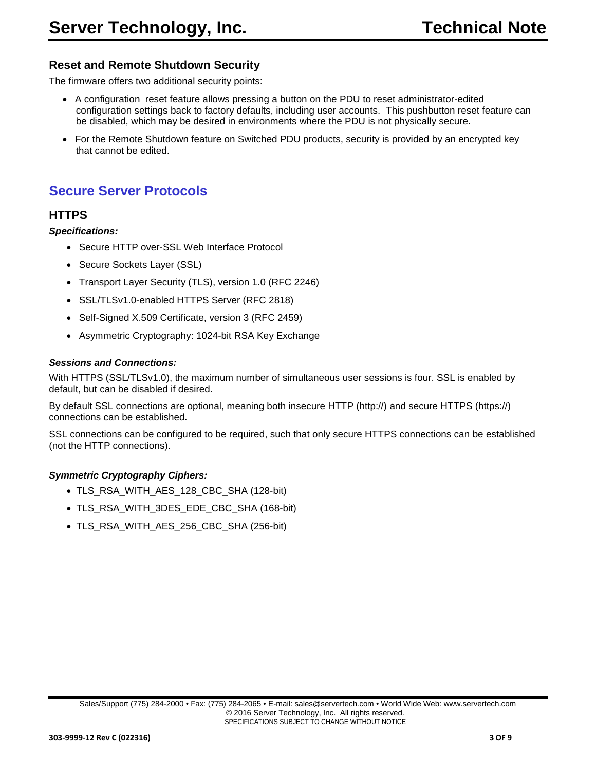### **Reset and Remote Shutdown Security**

The firmware offers two additional security points:

- A configuration reset feature allows pressing a button on the PDU to reset administrator-edited configuration settings back to factory defaults, including user accounts. This pushbutton reset feature can be disabled, which may be desired in environments where the PDU is not physically secure.
- For the Remote Shutdown feature on Switched PDU products, security is provided by an encrypted key that cannot be edited.

# **Secure Server Protocols**

### **HTTPS**

*Specifications:*

- Secure HTTP over-SSL Web Interface Protocol
- Secure Sockets Layer (SSL)
- Transport Layer Security (TLS), version 1.0 (RFC 2246)
- SSL/TLSv1.0-enabled HTTPS Server (RFC 2818)
- Self-Signed X.509 Certificate, version 3 (RFC 2459)
- Asymmetric Cryptography: 1024-bit RSA Key Exchange

#### *Sessions and Connections:*

With HTTPS (SSL/TLSv1.0), the maximum number of simultaneous user sessions is four. SSL is enabled by default, but can be disabled if desired.

By default SSL connections are optional, meaning both insecure HTTP (http://) and secure HTTPS (https://) connections can be established.

SSL connections can be configured to be required, such that only secure HTTPS connections can be established (not the HTTP connections).

#### *Symmetric Cryptography Ciphers:*

- TLS\_RSA\_WITH\_AES\_128\_CBC\_SHA (128-bit)
- TLS\_RSA\_WITH\_3DES\_EDE\_CBC\_SHA (168-bit)
- TLS RSA WITH AES 256 CBC SHA (256-bit)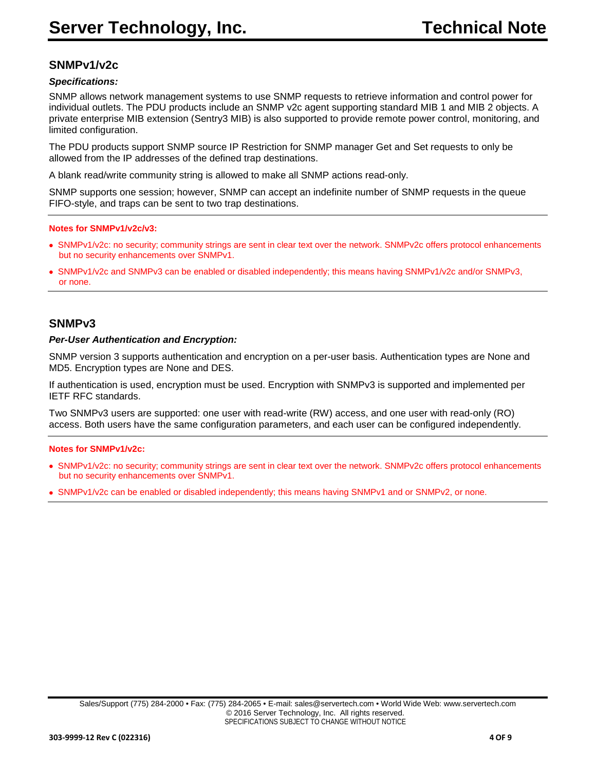# **SNMPv1/v2c**

#### *Specifications:*

SNMP allows network management systems to use SNMP requests to retrieve information and control power for individual outlets. The PDU products include an SNMP v2c agent supporting standard MIB 1 and MIB 2 objects. A private enterprise MIB extension (Sentry3 MIB) is also supported to provide remote power control, monitoring, and limited configuration.

The PDU products support SNMP source IP Restriction for SNMP manager Get and Set requests to only be allowed from the IP addresses of the defined trap destinations.

A blank read/write community string is allowed to make all SNMP actions read-only.

SNMP supports one session; however, SNMP can accept an indefinite number of SNMP requests in the queue FIFO-style, and traps can be sent to two trap destinations.

#### **Notes for SNMPv1/v2c/v3:**

- •SNMPv1/v2c: no security; community strings are sent in clear text over the network. SNMPv2c offers protocol enhancements but no security enhancements over SNMPv1.
- •SNMPv1/v2c and SNMPv3 can be enabled or disabled independently; this means having SNMPv1/v2c and/or SNMPv3, or none.

### **SNMPv3**

#### *Per-User Authentication and Encryption:*

SNMP version 3 supports authentication and encryption on a per-user basis. Authentication types are None and MD5. Encryption types are None and DES.

If authentication is used, encryption must be used. Encryption with SNMPv3 is supported and implemented per IETF RFC standards.

Two SNMPv3 users are supported: one user with read-write (RW) access, and one user with read-only (RO) access. Both users have the same configuration parameters, and each user can be configured independently.

#### **Notes for SNMPv1/v2c:**

- •SNMPv1/v2c: no security; community strings are sent in clear text over the network. SNMPv2c offers protocol enhancements but no security enhancements over SNMPv1.
- •SNMPv1/v2c can be enabled or disabled independently; this means having SNMPv1 and or SNMPv2, or none.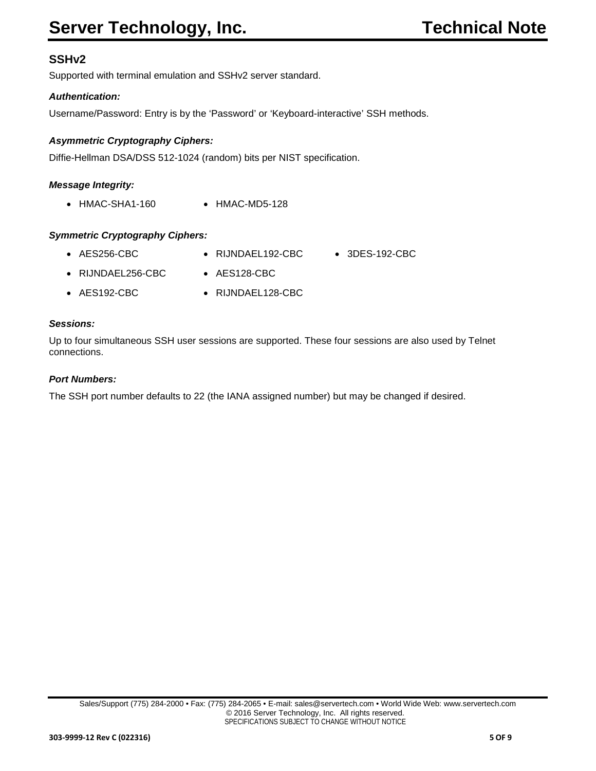# **SSHv2**

Supported with terminal emulation and SSHv2 server standard.

### *Authentication:*

Username/Password: Entry is by the 'Password' or 'Keyboard-interactive' SSH methods.

### *Asymmetric Cryptography Ciphers:*

Diffie-Hellman DSA/DSS 512-1024 (random) bits per NIST specification.

### *Message Integrity:*

• HMAC-SHA1-160 • HMAC-MD5-128

### *Symmetric Cryptography Ciphers:*

| $\bullet$ AES256-CBC      | $\bullet$ RIJNDAEL192-CBC | $\bullet$ 3DES-192-CBC |
|---------------------------|---------------------------|------------------------|
| $\bullet$ RIJNDAEL256-CBC | $\bullet$ AES128-CBC      |                        |
| $\bullet$ AES192-CBC      | • RIJNDAEL128-CBC         |                        |

#### *Sessions:*

Up to four simultaneous SSH user sessions are supported. These four sessions are also used by Telnet connections.

#### *Port Numbers:*

The SSH port number defaults to 22 (the IANA assigned number) but may be changed if desired.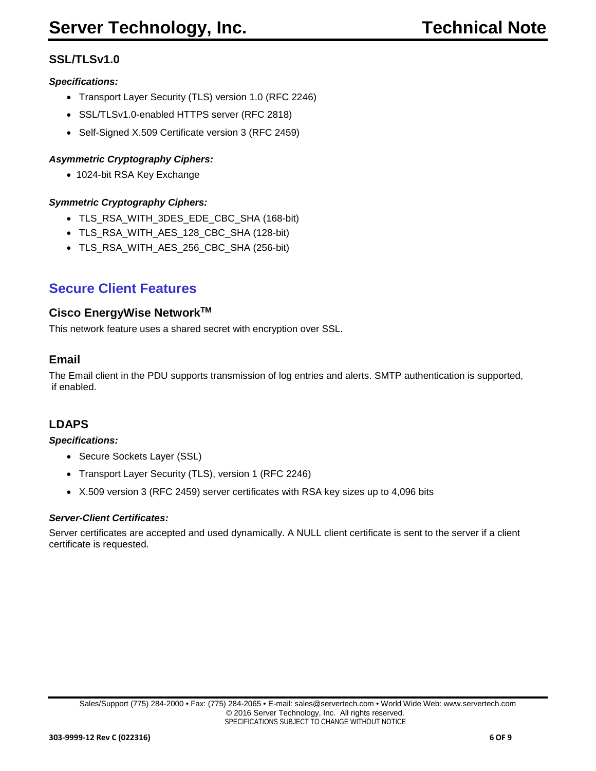# **SSL/TLSv1.0**

### *Specifications:*

- Transport Layer Security (TLS) version 1.0 (RFC 2246)
- SSL/TLSv1.0-enabled HTTPS server (RFC 2818)
- Self-Signed X.509 Certificate version 3 (RFC 2459)

### *Asymmetric Cryptography Ciphers:*

• 1024-bit RSA Key Exchange

### *Symmetric Cryptography Ciphers:*

- TLS\_RSA\_WITH\_3DES\_EDE\_CBC\_SHA (168-bit)
- TLS\_RSA\_WITH\_AES\_128\_CBC\_SHA (128-bit)
- TLS\_RSA\_WITH\_AES\_256\_CBC\_SHA (256-bit)

# **Secure Client Features**

### **Cisco EnergyWise NetworkTM**

This network feature uses a shared secret with encryption over SSL.

### **Email**

The Email client in the PDU supports transmission of log entries and alerts. SMTP authentication is supported, if enabled.

## **LDAPS**

#### *Specifications:*

- Secure Sockets Layer (SSL)
- Transport Layer Security (TLS), version 1 (RFC 2246)
- X.509 version 3 (RFC 2459) server certificates with RSA key sizes up to 4,096 bits

#### *Server-Client Certificates:*

Server certificates are accepted and used dynamically. A NULL client certificate is sent to the server if a client certificate is requested.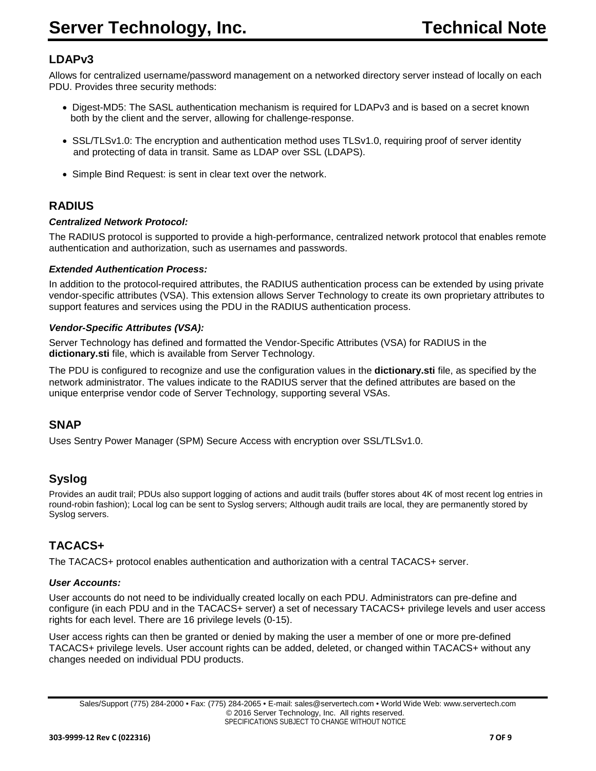# **LDAPv3**

Allows for centralized username/password management on a networked directory server instead of locally on each PDU. Provides three security methods:

- Digest-MD5: The SASL authentication mechanism is required for LDAPv3 and is based on a secret known both by the client and the server, allowing for challenge-response.
- SSL/TLSv1.0: The encryption and authentication method uses TLSv1.0, requiring proof of server identity and protecting of data in transit. Same as LDAP over SSL (LDAPS).
- Simple Bind Request: is sent in clear text over the network.

# **RADIUS**

### *Centralized Network Protocol:*

The RADIUS protocol is supported to provide a high-performance, centralized network protocol that enables remote authentication and authorization, such as usernames and passwords.

#### *Extended Authentication Process:*

In addition to the protocol-required attributes, the RADIUS authentication process can be extended by using private vendor-specific attributes (VSA). This extension allows Server Technology to create its own proprietary attributes to support features and services using the PDU in the RADIUS authentication process.

#### *Vendor-Specific Attributes (VSA):*

Server Technology has defined and formatted the Vendor-Specific Attributes (VSA) for RADIUS in the **dictionary.sti** file, which is available from Server Technology.

The PDU is configured to recognize and use the configuration values in the **dictionary.sti** file, as specified by the network administrator. The values indicate to the RADIUS server that the defined attributes are based on the unique enterprise vendor code of Server Technology, supporting several VSAs.

## **SNAP**

Uses Sentry Power Manager (SPM) Secure Access with encryption over SSL/TLSv1.0.

# **Syslog**

Provides an audit trail; PDUs also support logging of actions and audit trails (buffer stores about 4K of most recent log entries in round-robin fashion); Local log can be sent to Syslog servers; Although audit trails are local, they are permanently stored by Syslog servers.

# **TACACS+**

The TACACS+ protocol enables authentication and authorization with a central TACACS+ server.

#### *User Accounts:*

User accounts do not need to be individually created locally on each PDU. Administrators can pre-define and configure (in each PDU and in the TACACS+ server) a set of necessary TACACS+ privilege levels and user access rights for each level. There are 16 privilege levels (0-15).

User access rights can then be granted or denied by making the user a member of one or more pre-defined TACACS+ privilege levels. User account rights can be added, deleted, or changed within TACACS+ without any changes needed on individual PDU products.

Sales/Support (775) 284-2000 • Fax: (775) 284-2065 • E-mail: sales@servertech.com • World Wide Web: www.servertech.com © 2016 Server Technology, Inc. All rights reserved. SPECIFICATIONS SUBJECT TO CHANGE WITHOUT NOTICE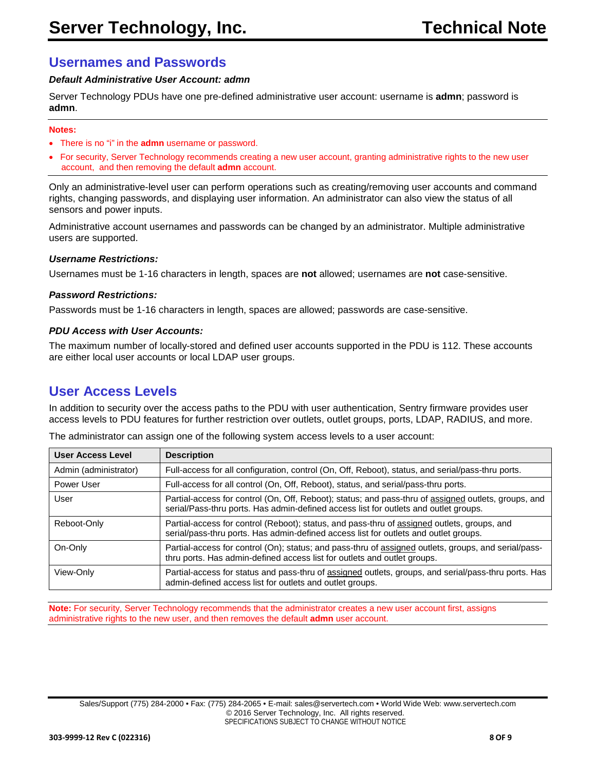## **Usernames and Passwords**

#### *Default Administrative User Account: admn*

Server Technology PDUs have one pre-defined administrative user account: username is **admn**; password is **admn**.

#### **Notes:**

- There is no "i" in the **admn** username or password.
- For security, Server Technology recommends creating a new user account, granting administrative rights to the new user account, and then removing the default **admn** account.

Only an administrative-level user can perform operations such as creating/removing user accounts and command rights, changing passwords, and displaying user information. An administrator can also view the status of all sensors and power inputs.

Administrative account usernames and passwords can be changed by an administrator. Multiple administrative users are supported.

#### *Username Restrictions:*

Usernames must be 1-16 characters in length, spaces are **not** allowed; usernames are **not** case-sensitive.

#### *Password Restrictions:*

Passwords must be 1-16 characters in length, spaces are allowed; passwords are case-sensitive.

#### *PDU Access with User Accounts:*

The maximum number of locally-stored and defined user accounts supported in the PDU is 112. These accounts are either local user accounts or local LDAP user groups.

# **User Access Levels**

In addition to security over the access paths to the PDU with user authentication, Sentry firmware provides user access levels to PDU features for further restriction over outlets, outlet groups, ports, LDAP, RADIUS, and more.

| <b>User Access Level</b> | <b>Description</b>                                                                                                                                                                           |
|--------------------------|----------------------------------------------------------------------------------------------------------------------------------------------------------------------------------------------|
| Admin (administrator)    | Full-access for all configuration, control (On, Off, Reboot), status, and serial/pass-thru ports.                                                                                            |
| Power User               | Full-access for all control (On, Off, Reboot), status, and serial/pass-thru ports.                                                                                                           |
| User                     | Partial-access for control (On, Off, Reboot); status; and pass-thru of assigned outlets, groups, and<br>serial/Pass-thru ports. Has admin-defined access list for outlets and outlet groups. |
| Reboot-Only              | Partial-access for control (Reboot); status, and pass-thru of assigned outlets, groups, and<br>serial/pass-thru ports. Has admin-defined access list for outlets and outlet groups.          |
| On-Only                  | Partial-access for control (On); status; and pass-thru of assigned outlets, groups, and serial/pass-<br>thru ports. Has admin-defined access list for outlets and outlet groups.             |
| View-Only                | Partial-access for status and pass-thru of assigned outlets, groups, and serial/pass-thru ports. Has<br>admin-defined access list for outlets and outlet groups.                             |

The administrator can assign one of the following system access levels to a user account:

**Note:** For security, Server Technology recommends that the administrator creates a new user account first, assigns administrative rights to the new user, and then removes the default **admn** user account.